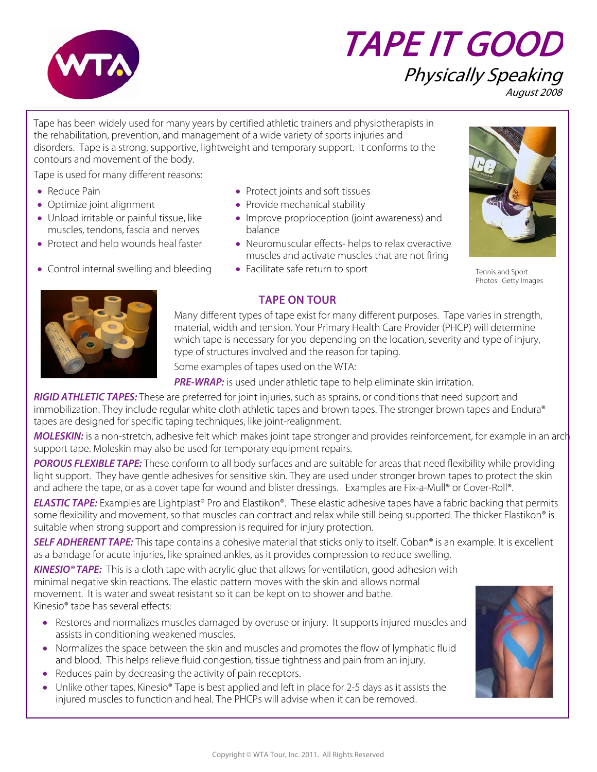

# TAPE IT GOOD

#### Physically Speaking August 2008

Tape has been widely used for many years by certified athletic trainers and physiotherapists in the rehabilitation, prevention, and management of a wide variety of sports injuries and disorders. Tape is a strong, supportive, lightweight and temporary support. It conforms to the contours and movement of the body.

Tape is used for many different reasons:

- 
- 
- Unload irritable or painful tissue, like muscles, tendons, fascia and nerves
- 
- Control internal swelling and bleeding Facilitate safe return to sport
- Reduce Pain Protect joints and soft tissues
- Optimize joint alignment Provide mechanical stability
	- Improve proprioception (joint awareness) and balance
- Protect and help wounds heal faster • Neuromuscular effects- helps to relax overactive muscles and activate muscles that are not firing
	-



Tennis and Sport Photos: Getty Images



#### TAPE ON TOUR

Many different types of tape exist for many different purposes. Tape varies in strength, material, width and tension. Your Primary Health Care Provider (PHCP) will determine which tape is necessary for you depending on the location, severity and type of injury, type of structures involved and the reason for taping.

Some examples of tapes used on the WTA:

**PRE-WRAP:** is used under athletic tape to help eliminate skin irritation.

**RIGID ATHLETIC TAPES:** These are preferred for joint injuries, such as sprains, or conditions that need support and immobilization. They include regular white cloth athletic tapes and brown tapes. The stronger brown tapes and Endura® tapes are designed for specific taping techniques, like joint-realignment.

**MOLESKIN:** is a non-stretch, adhesive felt which makes joint tape stronger and provides reinforcement, for example in an arch support tape. Moleskin may also be used for temporary equipment repairs.

**POROUS FLEXIBLE TAPE:** These conform to all body surfaces and are suitable for areas that need flexibility while providing light support. They have gentle adhesives for sensitive skin. They are used under stronger brown tapes to protect the skin and adhere the tape, or as a cover tape for wound and blister dressings. Examples are Fix-a-Mull® or Cover-Roll®.

**ELASTIC TAPE:** Examples are Lightplast® Pro and Elastikon®. These elastic adhesive tapes have a fabric backing that permits some flexibility and movement, so that muscles can contract and relax while still being supported. The thicker Elastikon® is suitable when strong support and compression is required for injury protection.

**SELF ADHERENT TAPE:** This tape contains a cohesive material that sticks only to itself. Coban® is an example. It is excellent as a bandage for acute injuries, like sprained ankles, as it provides compression to reduce swelling.

**KINESIO® TAPE:** This is a cloth tape with acrylic glue that allows for ventilation, good adhesion with minimal negative skin reactions. The elastic pattern moves with the skin and allows normal movement. It is water and sweat resistant so it can be kept on to shower and bathe. Kinesio® tape has several effects:

- Restores and normalizes muscles damaged by overuse or injury. It supports injured muscles and assists in conditioning weakened muscles.
- Normalizes the space between the skin and muscles and promotes the flow of lymphatic fluid and blood. This helps relieve fluid congestion, tissue tightness and pain from an injury.
- Reduces pain by decreasing the activity of pain receptors.
- Unlike other tapes, Kinesio® Tape is best applied and left in place for 2-5 days as it assists the injured muscles to function and heal. The PHCPs will advise when it can be removed.